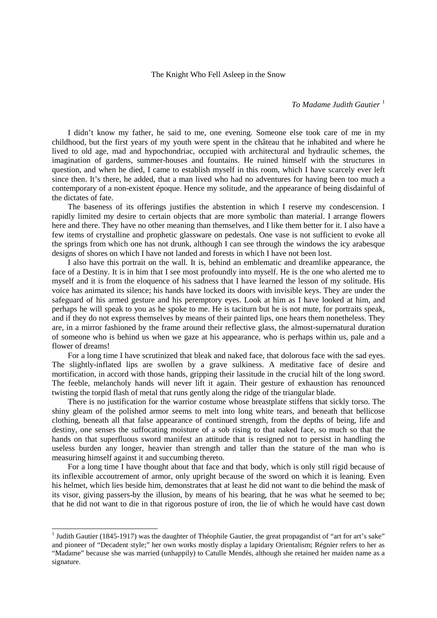## The Knight Who Fell Asleep in the Snow

*To Madame Judith Gautier*<sup>[1](#page-0-0)</sup>

I didn't know my father, he said to me, one evening. Someone else took care of me in my childhood, but the first years of my youth were spent in the château that he inhabited and where he lived to old age, mad and hypochondriac, occupied with architectural and hydraulic schemes, the imagination of gardens, summer-houses and fountains. He ruined himself with the structures in question, and when he died, I came to establish myself in this room, which I have scarcely ever left since then. It's there, he added, that a man lived who had no adventures for having been too much a contemporary of a non-existent époque. Hence my solitude, and the appearance of being disdainful of the dictates of fate.

The baseness of its offerings justifies the abstention in which I reserve my condescension. I rapidly limited my desire to certain objects that are more symbolic than material. I arrange flowers here and there. They have no other meaning than themselves, and I like them better for it. I also have a few items of crystalline and prophetic glassware on pedestals. One vase is not sufficient to evoke all the springs from which one has not drunk, although I can see through the windows the icy arabesque designs of shores on which I have not landed and forests in which I have not been lost.

I also have this portrait on the wall. It is, behind an emblematic and dreamlike appearance, the face of a Destiny. It is in him that I see most profoundly into myself. He is the one who alerted me to myself and it is from the eloquence of his sadness that I have learned the lesson of my solitude. His voice has animated its silence; his hands have locked its doors with invisible keys. They are under the safeguard of his armed gesture and his peremptory eyes. Look at him as I have looked at him, and perhaps he will speak to you as he spoke to me. He is taciturn but he is not mute, for portraits speak, and if they do not express themselves by means of their painted lips, one hears them nonetheless. They are, in a mirror fashioned by the frame around their reflective glass, the almost-supernatural duration of someone who is behind us when we gaze at his appearance, who is perhaps within us, pale and a flower of dreams!

For a long time I have scrutinized that bleak and naked face, that dolorous face with the sad eyes. The slightly-inflated lips are swollen by a grave sulkiness. A meditative face of desire and mortification, in accord with those hands, gripping their lassitude in the crucial hilt of the long sword. The feeble, melancholy hands will never lift it again. Their gesture of exhaustion has renounced twisting the torpid flash of metal that runs gently along the ridge of the triangular blade.

There is no justification for the warrior costume whose breastplate stiffens that sickly torso. The shiny gleam of the polished armor seems to melt into long white tears, and beneath that bellicose clothing, beneath all that false appearance of continued strength, from the depths of being, life and destiny, one senses the suffocating moisture of a sob rising to that naked face, so much so that the hands on that superfluous sword manifest an attitude that is resigned not to persist in handling the useless burden any longer, heavier than strength and taller than the stature of the man who is measuring himself against it and succumbing thereto.

For a long time I have thought about that face and that body, which is only still rigid because of its inflexible accoutrement of armor, only upright because of the sword on which it is leaning. Even his helmet, which lies beside him, demonstrates that at least he did not want to die behind the mask of its visor, giving passers-by the illusion, by means of his bearing, that he was what he seemed to be; that he did not want to die in that rigorous posture of iron, the lie of which he would have cast down

<span id="page-0-0"></span><sup>&</sup>lt;sup>1</sup> Judith Gautier (1845-1917) was the daughter of Théophile Gautier, the great propagandist of "art for art's sake" and pioneer of "Decadent style;" her own works mostly display a lapidary Orientalism; Régnier refers to her as "Madame" because she was married (unhappily) to Catulle Mendès, although she retained her maiden name as a signature.